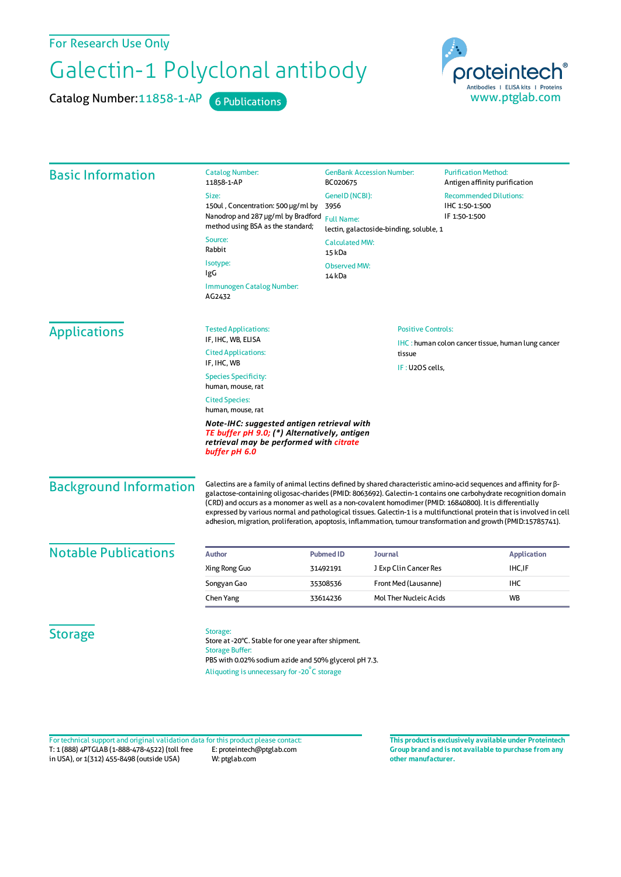For Research Use Only

## Galectin-1 Polyclonal antibody

Catalog Number: 11858-1-AP 6 Publications



| <b>Basic Information</b>      | <b>Catalog Number:</b><br>11858-1-AP                                                                                                                                                                                                                                                                                                                                                                                                                                                                                                                                                          | <b>GenBank Accession Number:</b><br>BC020675 |                           | <b>Purification Method:</b><br>Antigen affinity purification |                    |  |
|-------------------------------|-----------------------------------------------------------------------------------------------------------------------------------------------------------------------------------------------------------------------------------------------------------------------------------------------------------------------------------------------------------------------------------------------------------------------------------------------------------------------------------------------------------------------------------------------------------------------------------------------|----------------------------------------------|---------------------------|--------------------------------------------------------------|--------------------|--|
|                               | Size:                                                                                                                                                                                                                                                                                                                                                                                                                                                                                                                                                                                         | GenelD (NCBI):<br>3956                       |                           | <b>Recommended Dilutions:</b><br>IHC 1:50-1:500              |                    |  |
|                               | 150ul, Concentration: 500 µg/ml by                                                                                                                                                                                                                                                                                                                                                                                                                                                                                                                                                            |                                              |                           |                                                              |                    |  |
|                               | Nanodrop and 287 µg/ml by Bradford                                                                                                                                                                                                                                                                                                                                                                                                                                                                                                                                                            | <b>Full Name:</b>                            |                           | IF 1:50-1:500                                                |                    |  |
|                               | method using BSA as the standard;                                                                                                                                                                                                                                                                                                                                                                                                                                                                                                                                                             | lectin, galactoside-binding, soluble, 1      |                           |                                                              |                    |  |
|                               | Source:<br><b>Calculated MW:</b><br>Rabbit<br>15 kDa                                                                                                                                                                                                                                                                                                                                                                                                                                                                                                                                          |                                              |                           |                                                              |                    |  |
|                               | Isotype:                                                                                                                                                                                                                                                                                                                                                                                                                                                                                                                                                                                      | <b>Observed MW:</b>                          |                           |                                                              |                    |  |
|                               | IgG                                                                                                                                                                                                                                                                                                                                                                                                                                                                                                                                                                                           | 14 <sub>kDa</sub>                            |                           |                                                              |                    |  |
|                               | Immunogen Catalog Number:<br>AG2432                                                                                                                                                                                                                                                                                                                                                                                                                                                                                                                                                           |                                              |                           |                                                              |                    |  |
| <b>Applications</b>           | <b>Tested Applications:</b>                                                                                                                                                                                                                                                                                                                                                                                                                                                                                                                                                                   |                                              | <b>Positive Controls:</b> |                                                              |                    |  |
|                               | IF, IHC, WB, ELISA                                                                                                                                                                                                                                                                                                                                                                                                                                                                                                                                                                            |                                              |                           | <b>IHC</b> : human colon cancer tissue, human lung cancer    |                    |  |
|                               | <b>Cited Applications:</b>                                                                                                                                                                                                                                                                                                                                                                                                                                                                                                                                                                    | tissue                                       |                           |                                                              |                    |  |
|                               | IF, IHC, WB                                                                                                                                                                                                                                                                                                                                                                                                                                                                                                                                                                                   |                                              | IF: U2OS cells,           |                                                              |                    |  |
|                               | <b>Species Specificity:</b><br>human, mouse, rat                                                                                                                                                                                                                                                                                                                                                                                                                                                                                                                                              |                                              |                           |                                                              |                    |  |
|                               | <b>Cited Species:</b>                                                                                                                                                                                                                                                                                                                                                                                                                                                                                                                                                                         |                                              |                           |                                                              |                    |  |
|                               | human, mouse, rat                                                                                                                                                                                                                                                                                                                                                                                                                                                                                                                                                                             |                                              |                           |                                                              |                    |  |
|                               | Note-IHC: suggested antigen retrieval with<br>TE buffer pH 9.0; (*) Alternatively, antigen<br>retrieval may be performed with citrate<br>buffer pH 6.0                                                                                                                                                                                                                                                                                                                                                                                                                                        |                                              |                           |                                                              |                    |  |
| <b>Background Information</b> | Galectins are a family of animal lectins defined by shared characteristic amino-acid sequences and affinity for β-<br>galactose-containing oligosac-charides (PMID: 8063692). Galectin-1 contains one carbohydrate recognition domain<br>(CRD) and occurs as a monomer as well as a non-covalent homodimer (PMID: 16840800). It is differentially<br>expressed by various normal and pathological tissues. Galectin-1 is a multifunctional protein that is involved in cell<br>adhesion, migration, proliferation, apoptosis, inflammation, tumour transformation and growth (PMID:15785741). |                                              |                           |                                                              |                    |  |
| <b>Notable Publications</b>   | <b>Author</b>                                                                                                                                                                                                                                                                                                                                                                                                                                                                                                                                                                                 | <b>Pubmed ID</b>                             | Journal                   |                                                              | <b>Application</b> |  |
|                               | Xing Rong Guo                                                                                                                                                                                                                                                                                                                                                                                                                                                                                                                                                                                 | 31492191                                     | J Exp Clin Cancer Res     |                                                              | IHC, IF            |  |
|                               | Songyan Gao                                                                                                                                                                                                                                                                                                                                                                                                                                                                                                                                                                                   | 35308536                                     | Front Med (Lausanne)      |                                                              | <b>IHC</b>         |  |
|                               | Chen Yang                                                                                                                                                                                                                                                                                                                                                                                                                                                                                                                                                                                     | 33614236                                     | Mol Ther Nucleic Acids    |                                                              | WB                 |  |
| <b>Storage</b>                | Storage:<br>Store at -20°C. Stable for one year after shipment.<br><b>Storage Buffer:</b><br>PBS with 0.02% sodium azide and 50% glycerol pH 7.3.<br>Aliquoting is unnecessary for -20°C storage                                                                                                                                                                                                                                                                                                                                                                                              |                                              |                           |                                                              |                    |  |

T: 1 (888) 4PTGLAB (1-888-478-4522) (toll free in USA), or 1(312) 455-8498 (outside USA) E: proteintech@ptglab.com W: ptglab.com Fortechnical support and original validation data forthis product please contact: **This productis exclusively available under Proteintech**

**Group brand and is not available to purchase from any other manufacturer.**